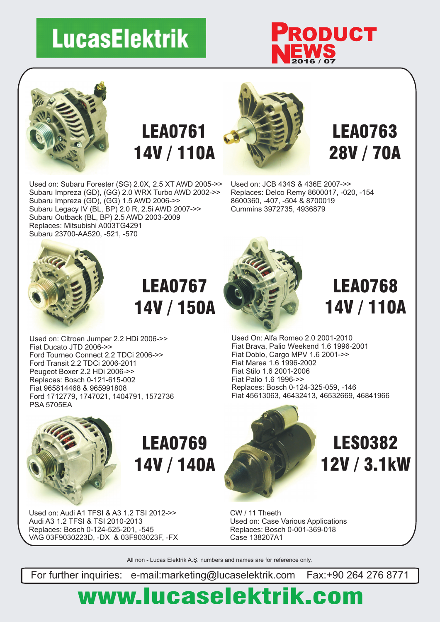# **LucasElektrik**

Used on: Subaru Forester (SG) 2.0X, 2.5 XT AWD 2005->> Subaru Impreza (GD), (GG) 2.0 WRX Turbo AWD 2002->>

Subaru Impreza (GD), (GG) 1.5 AWD 2006->> Subaru Legacy IV (BL, BP) 2.0 R, 2.5i AWD 2007->> Subaru Outback (BL, BP) 2.5 AWD 2003-2009

Replaces: Mitsubishi A003TG4291 Subaru 23700-AA520, -521, -570





### LEA0761 14V / 110A



#### LEA0763 28V / 70A

Used on: JCB 434S & 436E 2007->> Replaces: Delco Remy 8600017, -020, -154 8600360, -407, -504 & 8700019 Cummins 3972735, 4936879



### LEA0767 14V / 150A

Used on: Citroen Jumper 2.2 HDi 2006->> Fiat Ducato JTD 2006->> Ford Tourneo Connect 2.2 TDCi 2006->> Ford Transit 2.2 TDCi 2006-2011 Peugeot Boxer 2.2 HDi 2006->> Replaces: Bosch 0-121-615-002 Fiat 965814468 & 965991808 Ford 1712779, 1747021, 1404791, 1572736 PSA 5705EA



LEA0768 14V / 110A

Used On: Alfa Romeo 2.0 2001-2010 Fiat Brava, Palio Weekend 1.6 1996-2001 Fiat Doblo, Cargo MPV 1.6 2001->> Fiat Marea 1.6 1996-2002 Fiat Stilo 1.6 2001-2006 Fiat Palio 1.6 1996->> Replaces: Bosch 0-124-325-059, -146 Fiat 45613063, 46432413, 46532669, 46841966



### LEA0769 14V / 140A

Used on: Audi A1 TFSI & A3 1.2 TSI 2012->> Audi A3 1.2 TFSI & TSI 2010-2013 Replaces: Bosch 0-124-525-201, -545 VAG 03F9030223D, -DX & 03F903023F, -FX



LES0382 12V / 3.1kW

CW / 11 Theeth Used on: Case Various Applications Replaces: Bosch 0-001-369-018 Case 138207A1

All non - Lucas Elektrik A.Ş. numbers and names are for reference only.

For further inquiries: e-mail:marketing@lucaselektrik.com Fax:+90 264 276 8771

### www.lucaselektrik.com